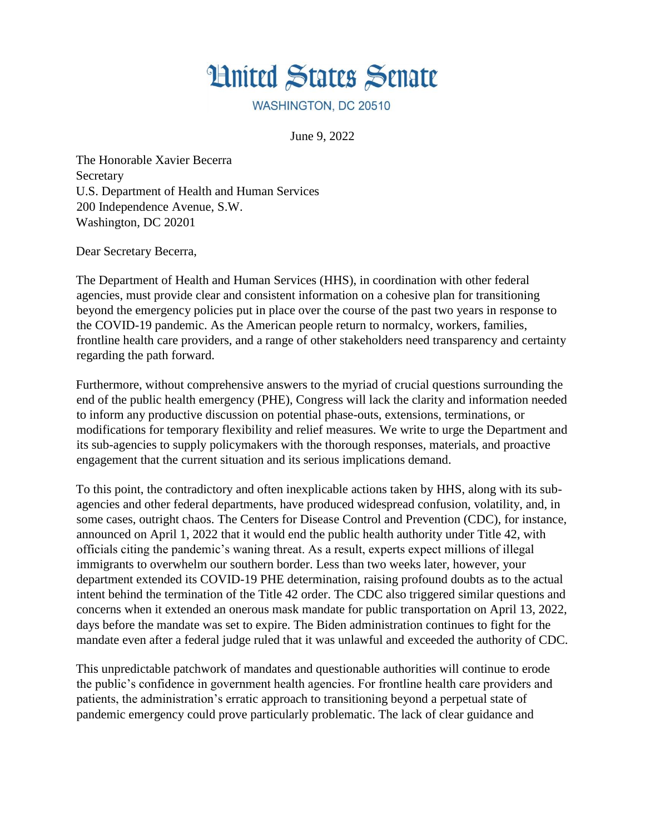

WASHINGTON, DC 20510

June 9, 2022

The Honorable Xavier Becerra Secretary U.S. Department of Health and Human Services 200 Independence Avenue, S.W. Washington, DC 20201

Dear Secretary Becerra,

The Department of Health and Human Services (HHS), in coordination with other federal agencies, must provide clear and consistent information on a cohesive plan for transitioning beyond the emergency policies put in place over the course of the past two years in response to the COVID-19 pandemic. As the American people return to normalcy, workers, families, frontline health care providers, and a range of other stakeholders need transparency and certainty regarding the path forward.

Furthermore, without comprehensive answers to the myriad of crucial questions surrounding the end of the public health emergency (PHE), Congress will lack the clarity and information needed to inform any productive discussion on potential phase-outs, extensions, terminations, or modifications for temporary flexibility and relief measures. We write to urge the Department and its sub-agencies to supply policymakers with the thorough responses, materials, and proactive engagement that the current situation and its serious implications demand.

To this point, the contradictory and often inexplicable actions taken by HHS, along with its subagencies and other federal departments, have produced widespread confusion, volatility, and, in some cases, outright chaos. The Centers for Disease Control and Prevention (CDC), for instance, announced on April 1, 2022 that it would end the public health authority under Title 42, with officials citing the pandemic's waning threat. As a result, experts expect millions of illegal immigrants to overwhelm our southern border. Less than two weeks later, however, your department extended its COVID-19 PHE determination, raising profound doubts as to the actual intent behind the termination of the Title 42 order. The CDC also triggered similar questions and concerns when it extended an onerous mask mandate for public transportation on April 13, 2022, days before the mandate was set to expire. The Biden administration continues to fight for the mandate even after a federal judge ruled that it was unlawful and exceeded the authority of CDC.

This unpredictable patchwork of mandates and questionable authorities will continue to erode the public's confidence in government health agencies. For frontline health care providers and patients, the administration's erratic approach to transitioning beyond a perpetual state of pandemic emergency could prove particularly problematic. The lack of clear guidance and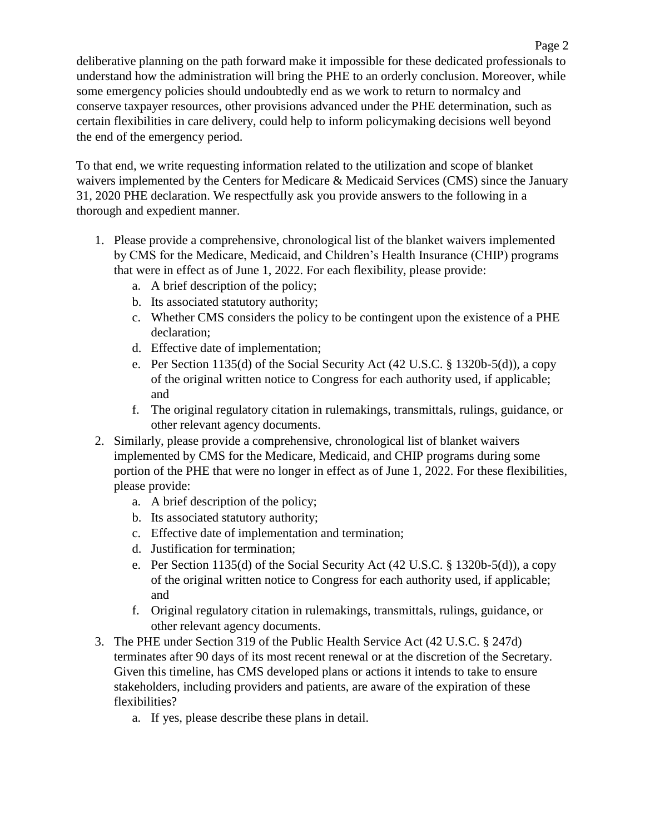deliberative planning on the path forward make it impossible for these dedicated professionals to understand how the administration will bring the PHE to an orderly conclusion. Moreover, while some emergency policies should undoubtedly end as we work to return to normalcy and conserve taxpayer resources, other provisions advanced under the PHE determination, such as certain flexibilities in care delivery, could help to inform policymaking decisions well beyond the end of the emergency period.

To that end, we write requesting information related to the utilization and scope of blanket waivers implemented by the Centers for Medicare & Medicaid Services (CMS) since the January 31, 2020 PHE declaration. We respectfully ask you provide answers to the following in a thorough and expedient manner.

- 1. Please provide a comprehensive, chronological list of the blanket waivers implemented by CMS for the Medicare, Medicaid, and Children's Health Insurance (CHIP) programs that were in effect as of June 1, 2022. For each flexibility, please provide:
	- a. A brief description of the policy;
	- b. Its associated statutory authority;
	- c. Whether CMS considers the policy to be contingent upon the existence of a PHE declaration;
	- d. Effective date of implementation;
	- e. Per Section 1135(d) of the Social Security Act (42 U.S.C. § 1320b-5(d)), a copy of the original written notice to Congress for each authority used, if applicable; and
	- f. The original regulatory citation in rulemakings, transmittals, rulings, guidance, or other relevant agency documents.
- 2. Similarly, please provide a comprehensive, chronological list of blanket waivers implemented by CMS for the Medicare, Medicaid, and CHIP programs during some portion of the PHE that were no longer in effect as of June 1, 2022. For these flexibilities, please provide:
	- a. A brief description of the policy;
	- b. Its associated statutory authority;
	- c. Effective date of implementation and termination;
	- d. Justification for termination;
	- e. Per Section 1135(d) of the Social Security Act (42 U.S.C. § 1320b-5(d)), a copy of the original written notice to Congress for each authority used, if applicable; and
	- f. Original regulatory citation in rulemakings, transmittals, rulings, guidance, or other relevant agency documents.
- 3. The PHE under Section 319 of the Public Health Service Act (42 U.S.C. § 247d) terminates after 90 days of its most recent renewal or at the discretion of the Secretary. Given this timeline, has CMS developed plans or actions it intends to take to ensure stakeholders, including providers and patients, are aware of the expiration of these flexibilities?
	- a. If yes, please describe these plans in detail.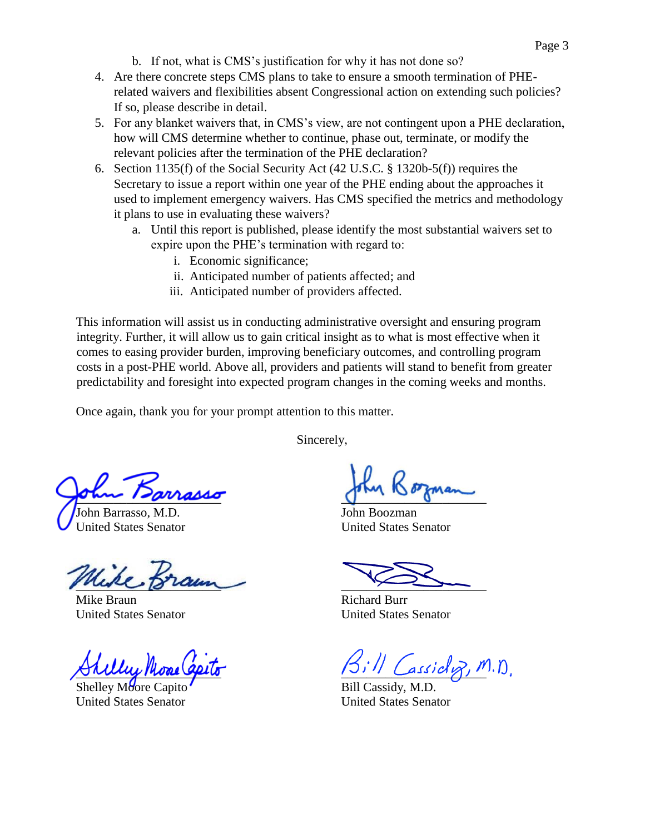- b. If not, what is CMS's justification for why it has not done so?
- 4. Are there concrete steps CMS plans to take to ensure a smooth termination of PHErelated waivers and flexibilities absent Congressional action on extending such policies? If so, please describe in detail.
- 5. For any blanket waivers that, in CMS's view, are not contingent upon a PHE declaration, how will CMS determine whether to continue, phase out, terminate, or modify the relevant policies after the termination of the PHE declaration?
- 6. Section 1135(f) of the Social Security Act (42 U.S.C. § 1320b-5(f)) requires the Secretary to issue a report within one year of the PHE ending about the approaches it used to implement emergency waivers. Has CMS specified the metrics and methodology it plans to use in evaluating these waivers?
	- a. Until this report is published, please identify the most substantial waivers set to expire upon the PHE's termination with regard to:
		- i. Economic significance;
		- ii. Anticipated number of patients affected; and
		- iii. Anticipated number of providers affected.

This information will assist us in conducting administrative oversight and ensuring program integrity. Further, it will allow us to gain critical insight as to what is most effective when it comes to easing provider burden, improving beneficiary outcomes, and controlling program costs in a post-PHE world. Above all, providers and patients will stand to benefit from greater predictability and foresight into expected program changes in the coming weeks and months.

Once again, thank you for your prompt attention to this matter.

Sincerely,

 $\sigma$ un 120 rasso

John Barrasso, United States Senator

\_\_\_\_\_\_\_\_\_\_\_\_\_\_\_\_\_\_\_\_\_\_\_

Mike Braun United States Senator

 $\forall$  rully mone open

Shelley Moore Cap United States Senator

 $\int$ 

John Boozman United States Senator

 $\overbrace{\phantom{aaaaa}}$ 

Richard Burr United States Senator

 $a$ ssicl $\varphi$ , M.D.

Bill Cassidy, M.D. United States Senator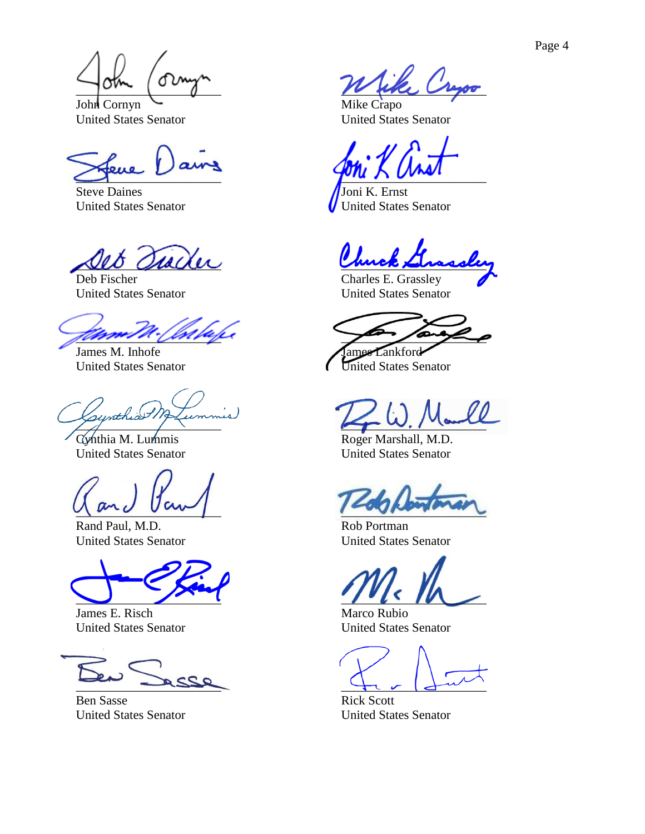Page 4

 $\int$ 

John Cornyn United States Senator

 $\sum_{i=1}^n$ 

Steve Daines United States Senator

 $\mu\alpha\alpha\alpha$ 

Deb Fischer United States Senator

\_\_\_\_\_\_\_\_\_\_\_\_\_\_\_\_\_\_\_\_\_\_\_

James M. Inhofe United States Senator

 $\frac{1}{2}$ 

Cynthia M. Lummis United States Senator

 $\sqrt{m_0}$  un

Rand Paul, M.D. United States Senator

 $\cup$   $\cup$   $\cup$ 

James E. Risch United States Senator

 $-$ 

Ben Sasse United States Senator

 $\mu$ 

Mike Crapo United States Senator

 $\sim$   $\sim$   $\sim$   $\sim$   $\sim$   $\sim$   $\sim$ 

Joni K. Ernst United States Senator

\_\_\_\_\_\_\_\_\_\_\_\_\_\_\_\_\_\_\_\_\_\_\_

Charles E. Grassley United States Senator

 $\frac{1}{2}$ ames Lankford

United States Senator

 $\mu\rightarrow 0$ . / Tank

Roger Marshall, M.D. United States Senator

 $\sim$ 

Rob Portman United States Senator

 $\overline{\phantom{a}}$ 

Marco Rubio United States Senator

 $\frac{1}{2}$ 

Rick Scott United States Senator